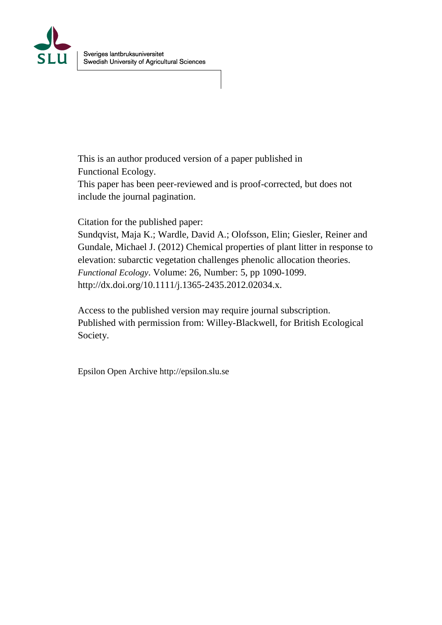

This is an author produced version of a paper published in Functional Ecology.

This paper has been peer-reviewed and is proof-corrected, but does not include the journal pagination.

Citation for the published paper:

Sundqvist, Maja K.; Wardle, David A.; Olofsson, Elin; Giesler, Reiner and Gundale, Michael J. (2012) Chemical properties of plant litter in response to elevation: subarctic vegetation challenges phenolic allocation theories. *Functional Ecology*. Volume: 26, Number: 5, pp 1090-1099. http://dx.doi.org/10.1111/j.1365-2435.2012.02034.x.

Access to the published version may require journal subscription. Published with permission from: Willey-Blackwell, for British Ecological Society.

Epsilon Open Archive http://epsilon.slu.se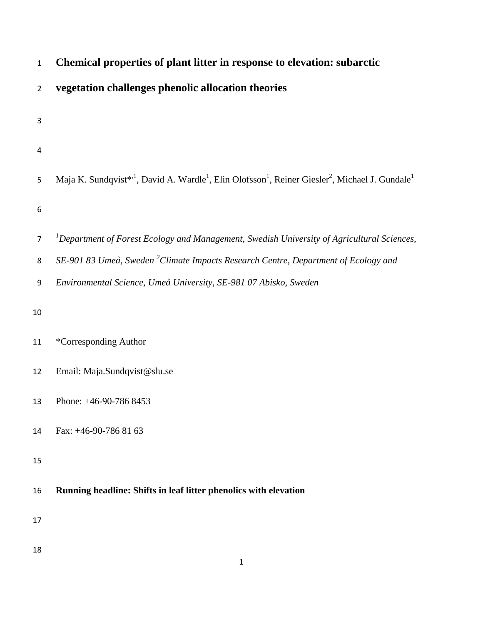| $\mathbf{1}$   | Chemical properties of plant litter in response to elevation: subarctic                                                                                     |
|----------------|-------------------------------------------------------------------------------------------------------------------------------------------------------------|
| $\overline{2}$ | vegetation challenges phenolic allocation theories                                                                                                          |
| 3              |                                                                                                                                                             |
| 4              |                                                                                                                                                             |
| 5              | Maja K. Sundqvist* <sup>1</sup> , David A. Wardle <sup>1</sup> , Elin Olofsson <sup>1</sup> , Reiner Giesler <sup>2</sup> , Michael J. Gundale <sup>1</sup> |
| 6              |                                                                                                                                                             |
| 7              | ${}^{1}$ Department of Forest Ecology and Management, Swedish University of Agricultural Sciences,                                                          |
| 8              | SE-901 83 Umeå, Sweden <sup>2</sup> Climate Impacts Research Centre, Department of Ecology and                                                              |
| 9              | Environmental Science, Umeå University, SE-981 07 Abisko, Sweden                                                                                            |
| $10\,$         |                                                                                                                                                             |
| 11             | *Corresponding Author                                                                                                                                       |
| 12             | Email: Maja.Sundqvist@slu.se                                                                                                                                |
| 13             | Phone: +46-90-786 8453                                                                                                                                      |
| 14             | Fax: $+46-90-7868163$                                                                                                                                       |
| 15             |                                                                                                                                                             |
| 16             | Running headline: Shifts in leaf litter phenolics with elevation                                                                                            |
| 17             |                                                                                                                                                             |
| 18             | $\mathbf{1}$                                                                                                                                                |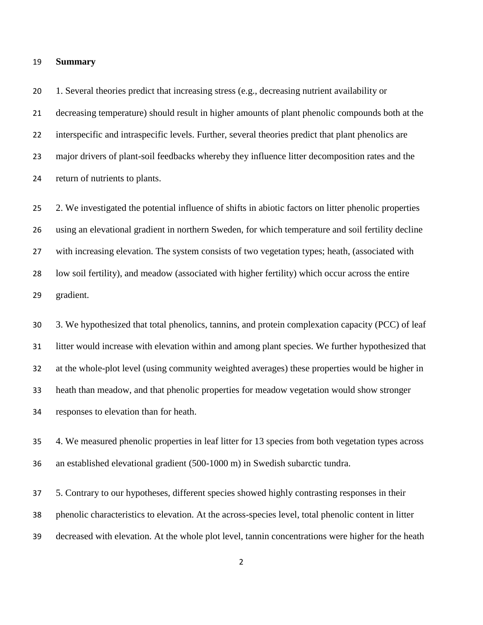### **Summary**

 1. Several theories predict that increasing stress (e.g., decreasing nutrient availability or decreasing temperature) should result in higher amounts of plant phenolic compounds both at the interspecific and intraspecific levels. Further, several theories predict that plant phenolics are major drivers of plant-soil feedbacks whereby they influence litter decomposition rates and the return of nutrients to plants.

 2. We investigated the potential influence of shifts in abiotic factors on litter phenolic properties using an elevational gradient in northern Sweden, for which temperature and soil fertility decline with increasing elevation. The system consists of two vegetation types; heath, (associated with low soil fertility), and meadow (associated with higher fertility) which occur across the entire gradient.

 3. We hypothesized that total phenolics, tannins, and protein complexation capacity (PCC) of leaf litter would increase with elevation within and among plant species. We further hypothesized that at the whole-plot level (using community weighted averages) these properties would be higher in heath than meadow, and that phenolic properties for meadow vegetation would show stronger responses to elevation than for heath.

 4. We measured phenolic properties in leaf litter for 13 species from both vegetation types across an established elevational gradient (500-1000 m) in Swedish subarctic tundra.

 5. Contrary to our hypotheses, different species showed highly contrasting responses in their phenolic characteristics to elevation. At the across-species level, total phenolic content in litter decreased with elevation. At the whole plot level, tannin concentrations were higher for the heath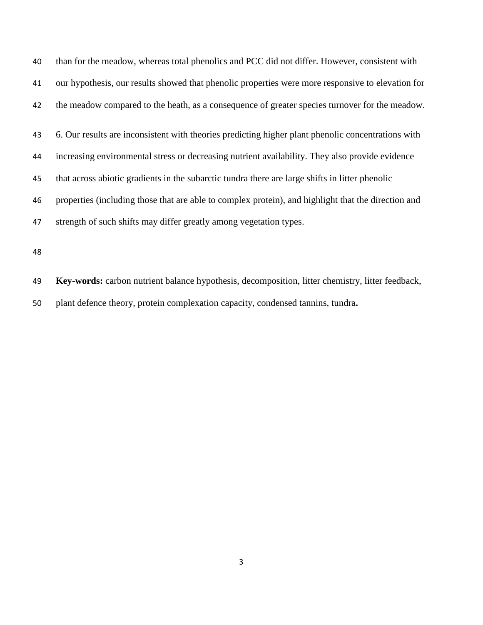| 40 | than for the meadow, whereas total phenolics and PCC did not differ. However, consistent with       |
|----|-----------------------------------------------------------------------------------------------------|
| 41 | our hypothesis, our results showed that phenolic properties were more responsive to elevation for   |
| 42 | the meadow compared to the heath, as a consequence of greater species turnover for the meadow.      |
| 43 | 6. Our results are inconsistent with theories predicting higher plant phenolic concentrations with  |
| 44 | increasing environmental stress or decreasing nutrient availability. They also provide evidence     |
| 45 | that across abiotic gradients in the subarctic tundra there are large shifts in litter phenolic     |
| 46 | properties (including those that are able to complex protein), and highlight that the direction and |
| 47 | strength of such shifts may differ greatly among vegetation types.                                  |
|    |                                                                                                     |

 **Key-words:** carbon nutrient balance hypothesis, decomposition, litter chemistry, litter feedback, plant defence theory, protein complexation capacity, condensed tannins, tundra**.**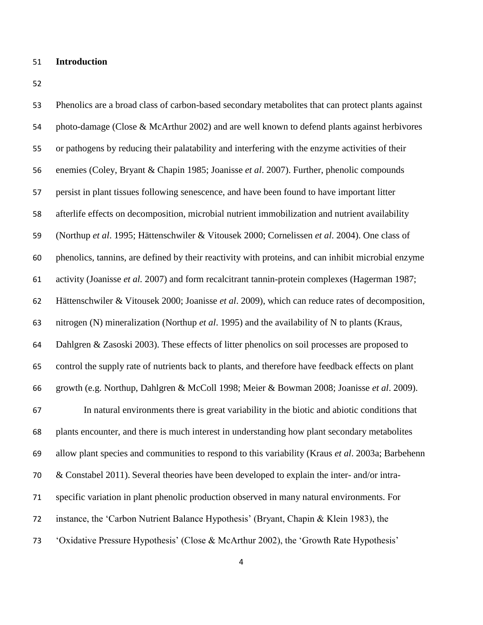# **Introduction**

 Phenolics are a broad class of carbon-based secondary metabolites that can protect plants against photo-damage (Close & McArthur 2002) and are well known to defend plants against herbivores or pathogens by reducing their palatability and interfering with the enzyme activities of their enemies (Coley, Bryant & Chapin 1985; Joanisse *et al*. 2007). Further, phenolic compounds persist in plant tissues following senescence, and have been found to have important litter afterlife effects on decomposition, microbial nutrient immobilization and nutrient availability (Northup *et al*. 1995; Hättenschwiler & Vitousek 2000; Cornelissen *et al*. 2004). One class of phenolics, tannins, are defined by their reactivity with proteins, and can inhibit microbial enzyme activity (Joanisse *et al.* 2007) and form recalcitrant tannin-protein complexes (Hagerman 1987; Hättenschwiler & Vitousek 2000; Joanisse *et al*. 2009), which can reduce rates of decomposition, nitrogen (N) mineralization (Northup *et al*. 1995) and the availability of N to plants (Kraus, Dahlgren & Zasoski 2003). These effects of litter phenolics on soil processes are proposed to control the supply rate of nutrients back to plants, and therefore have feedback effects on plant growth (e.g. Northup, Dahlgren & McColl 1998; Meier & Bowman 2008; Joanisse *et al*. 2009). In natural environments there is great variability in the biotic and abiotic conditions that plants encounter, and there is much interest in understanding how plant secondary metabolites allow plant species and communities to respond to this variability (Kraus *et al*. 2003a; Barbehenn & Constabel 2011). Several theories have been developed to explain the inter- and/or intra- specific variation in plant phenolic production observed in many natural environments. For instance, the 'Carbon Nutrient Balance Hypothesis' (Bryant, Chapin & Klein 1983), the 'Oxidative Pressure Hypothesis' (Close & McArthur 2002), the 'Growth Rate Hypothesis'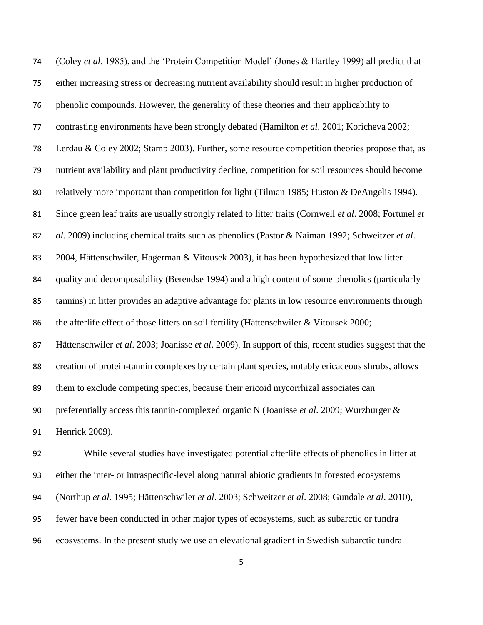(Coley *et al*. 1985), and the 'Protein Competition Model' (Jones & Hartley 1999) all predict that either increasing stress or decreasing nutrient availability should result in higher production of phenolic compounds. However, the generality of these theories and their applicability to contrasting environments have been strongly debated (Hamilton *et al*. 2001; Koricheva 2002; Lerdau & Coley 2002; Stamp 2003). Further, some resource competition theories propose that, as nutrient availability and plant productivity decline, competition for soil resources should become 80 relatively more important than competition for light (Tilman 1985; Huston & DeAngelis 1994). Since green leaf traits are usually strongly related to litter traits (Cornwell *et al*. 2008; Fortunel *et al*. 2009) including chemical traits such as phenolics (Pastor & Naiman 1992; Schweitzer *et al*. 2004, Hättenschwiler, Hagerman & Vitousek 2003), it has been hypothesized that low litter quality and decomposability (Berendse 1994) and a high content of some phenolics (particularly tannins) in litter provides an adaptive advantage for plants in low resource environments through the afterlife effect of those litters on soil fertility (Hättenschwiler & Vitousek 2000; Hättenschwiler *et al*. 2003; Joanisse *et al*. 2009). In support of this, recent studies suggest that the creation of protein-tannin complexes by certain plant species, notably ericaceous shrubs, allows them to exclude competing species, because their ericoid mycorrhizal associates can preferentially access this tannin-complexed organic N (Joanisse *et al*. 2009; Wurzburger & Henrick 2009).

 While several studies have investigated potential afterlife effects of phenolics in litter at either the inter- or intraspecific-level along natural abiotic gradients in forested ecosystems (Northup *et al*. 1995; Hättenschwiler *et al*. 2003; Schweitzer *et al*. 2008; Gundale *et al*. 2010), fewer have been conducted in other major types of ecosystems, such as subarctic or tundra ecosystems. In the present study we use an elevational gradient in Swedish subarctic tundra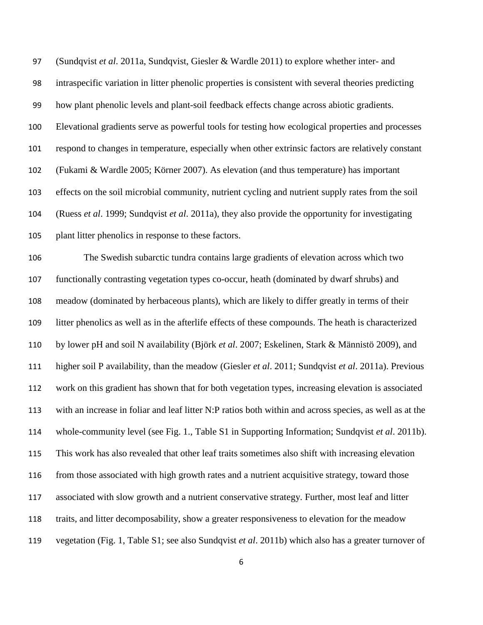(Sundqvist *et al*. 2011a, Sundqvist, Giesler & Wardle 2011) to explore whether inter- and intraspecific variation in litter phenolic properties is consistent with several theories predicting how plant phenolic levels and plant-soil feedback effects change across abiotic gradients. Elevational gradients serve as powerful tools for testing how ecological properties and processes respond to changes in temperature, especially when other extrinsic factors are relatively constant (Fukami & Wardle 2005; Körner 2007). As elevation (and thus temperature) has important effects on the soil microbial community, nutrient cycling and nutrient supply rates from the soil (Ruess *et al*. 1999; Sundqvist *et al*. 2011a), they also provide the opportunity for investigating plant litter phenolics in response to these factors.

 The Swedish subarctic tundra contains large gradients of elevation across which two functionally contrasting vegetation types co-occur, heath (dominated by dwarf shrubs) and meadow (dominated by herbaceous plants), which are likely to differ greatly in terms of their litter phenolics as well as in the afterlife effects of these compounds. The heath is characterized by lower pH and soil N availability (Björk *et al*. 2007; Eskelinen, Stark & Männistö 2009), and higher soil P availability, than the meadow (Giesler *et al*. 2011; Sundqvist *et al*. 2011a). Previous work on this gradient has shown that for both vegetation types, increasing elevation is associated with an increase in foliar and leaf litter N:P ratios both within and across species, as well as at the whole-community level (see Fig. 1., Table S1 in Supporting Information; Sundqvist *et al*. 2011b). This work has also revealed that other leaf traits sometimes also shift with increasing elevation from those associated with high growth rates and a nutrient acquisitive strategy, toward those associated with slow growth and a nutrient conservative strategy. Further, most leaf and litter traits, and litter decomposability, show a greater responsiveness to elevation for the meadow vegetation (Fig. 1, Table S1; see also Sundqvist *et al*. 2011b) which also has a greater turnover of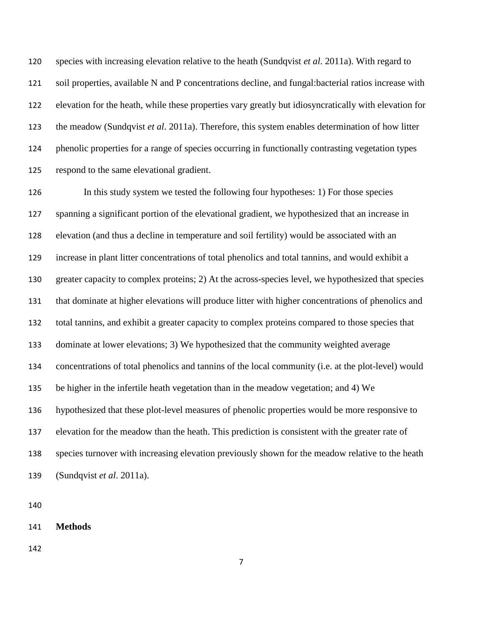species with increasing elevation relative to the heath (Sundqvist *et al*. 2011a). With regard to soil properties, available N and P concentrations decline, and fungal:bacterial ratios increase with elevation for the heath, while these properties vary greatly but idiosyncratically with elevation for the meadow (Sundqvist *et al*. 2011a). Therefore, this system enables determination of how litter phenolic properties for a range of species occurring in functionally contrasting vegetation types respond to the same elevational gradient.

 In this study system we tested the following four hypotheses: 1) For those species spanning a significant portion of the elevational gradient, we hypothesized that an increase in elevation (and thus a decline in temperature and soil fertility) would be associated with an increase in plant litter concentrations of total phenolics and total tannins, and would exhibit a greater capacity to complex proteins; 2) At the across-species level, we hypothesized that species that dominate at higher elevations will produce litter with higher concentrations of phenolics and total tannins, and exhibit a greater capacity to complex proteins compared to those species that dominate at lower elevations; 3) We hypothesized that the community weighted average concentrations of total phenolics and tannins of the local community (i.e. at the plot-level) would be higher in the infertile heath vegetation than in the meadow vegetation; and 4) We hypothesized that these plot-level measures of phenolic properties would be more responsive to elevation for the meadow than the heath. This prediction is consistent with the greater rate of species turnover with increasing elevation previously shown for the meadow relative to the heath (Sundqvist *et al*. 2011a).

**Methods**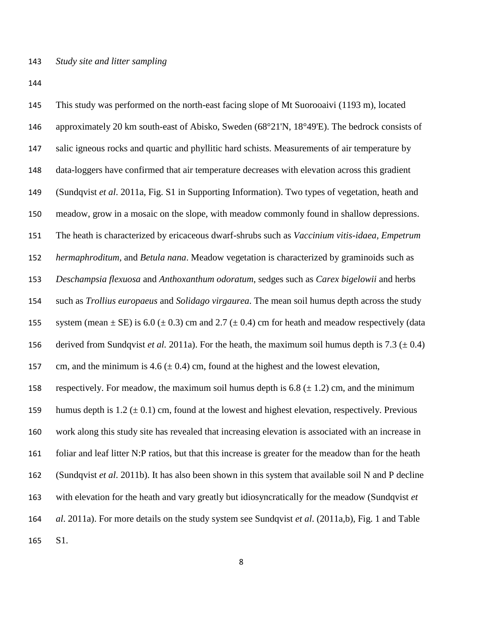This study was performed on the north-east facing slope of Mt Suorooaivi (1193 m), located approximately 20 km south-east of Abisko, Sweden (68°21'N, 18°49'E). The bedrock consists of salic igneous rocks and quartic and phyllitic hard schists. Measurements of air temperature by data-loggers have confirmed that air temperature decreases with elevation across this gradient (Sundqvist *et al*. 2011a, Fig. S1 in Supporting Information). Two types of vegetation, heath and meadow, grow in a mosaic on the slope, with meadow commonly found in shallow depressions. The heath is characterized by ericaceous dwarf-shrubs such as *Vaccinium vitis-idaea, Empetrum hermaphroditum,* and *Betula nana*. Meadow vegetation is characterized by graminoids such as *Deschampsia flexuosa* and *Anthoxanthum odoratum*, sedges such as *Carex bigelowii* and herbs such as *Trollius europaeus* and *Solidago virgaurea*. The mean soil humus depth across the study 155 system (mean  $\pm$  SE) is 6.0 ( $\pm$  0.3) cm and 2.7 ( $\pm$  0.4) cm for heath and meadow respectively (data 156 derived from Sundqvist *et al.* 2011a). For the heath, the maximum soil humus depth is 7.3 ( $\pm$  0.4) 157 cm, and the minimum is 4.6  $(\pm 0.4)$  cm, found at the highest and the lowest elevation, 158 respectively. For meadow, the maximum soil humus depth is 6.8 ( $\pm$  1.2) cm, and the minimum 159 humus depth is  $1.2 \pm 0.1$  cm, found at the lowest and highest elevation, respectively. Previous work along this study site has revealed that increasing elevation is associated with an increase in foliar and leaf litter N:P ratios, but that this increase is greater for the meadow than for the heath (Sundqvist *et al*. 2011b). It has also been shown in this system that available soil N and P decline with elevation for the heath and vary greatly but idiosyncratically for the meadow (Sundqvist *et al*. 2011a). For more details on the study system see Sundqvist *et al*. (2011a,b), Fig. 1 and Table S1.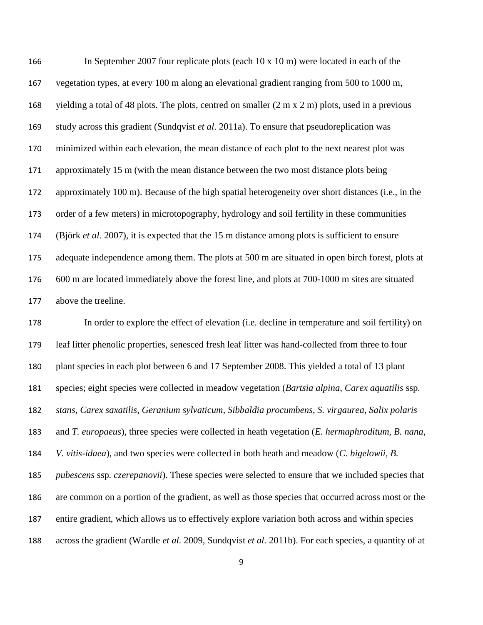In September 2007 four replicate plots (each 10 x 10 m) were located in each of the vegetation types, at every 100 m along an elevational gradient ranging from 500 to 1000 m, yielding a total of 48 plots. The plots, centred on smaller (2 m x 2 m) plots, used in a previous study across this gradient (Sundqvist *et al*. 2011a). To ensure that pseudoreplication was minimized within each elevation, the mean distance of each plot to the next nearest plot was approximately 15 m (with the mean distance between the two most distance plots being approximately 100 m). Because of the high spatial heterogeneity over short distances (i.e., in the order of a few meters) in microtopography, hydrology and soil fertility in these communities (Björk *et al.* 2007), it is expected that the 15 m distance among plots is sufficient to ensure adequate independence among them. The plots at 500 m are situated in open birch forest, plots at 600 m are located immediately above the forest line, and plots at 700-1000 m sites are situated above the treeline.

 In order to explore the effect of elevation (i.e. decline in temperature and soil fertility) on leaf litter phenolic properties, senesced fresh leaf litter was hand-collected from three to four plant species in each plot between 6 and 17 September 2008. This yielded a total of 13 plant species; eight species were collected in meadow vegetation (*Bartsia alpina*, *Carex aquatilis* ssp*. stans*, *Carex saxatilis, Geranium sylvaticum, Sibbaldia procumbens*, *S. virgaurea*, *Salix polaris* and *T. europaeus*), three species were collected in heath vegetation (*E. hermaphroditum*, *B. nana*, *V. vitis-idaea*), and two species were collected in both heath and meadow (*C. bigelowii, B. pubescens* ssp*. czerepanovii*). These species were selected to ensure that we included species that are common on a portion of the gradient, as well as those species that occurred across most or the entire gradient, which allows us to effectively explore variation both across and within species across the gradient (Wardle *et al.* 2009, Sundqvist *et al.* 2011b). For each species, a quantity of at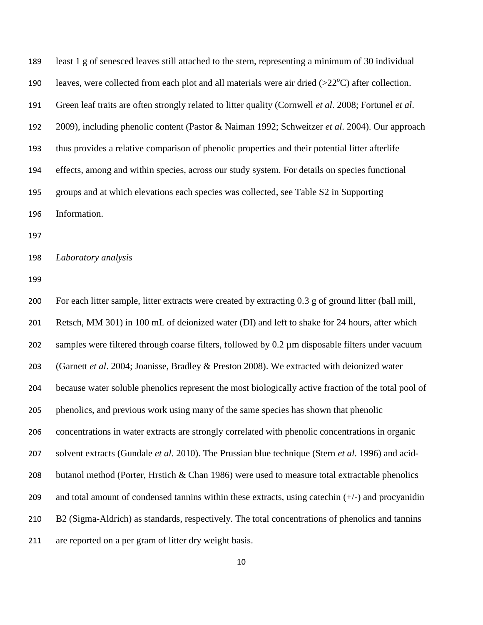least 1 g of senesced leaves still attached to the stem, representing a minimum of 30 individual 190 leaves, were collected from each plot and all materials were air dried  $(>22^{\circ}C)$  after collection. Green leaf traits are often strongly related to litter quality (Cornwell *et al*. 2008; Fortunel *et al*. 2009), including phenolic content (Pastor & Naiman 1992; Schweitzer *et al*. 2004). Our approach thus provides a relative comparison of phenolic properties and their potential litter afterlife effects, among and within species, across our study system. For details on species functional groups and at which elevations each species was collected, see Table S2 in Supporting Information.

*Laboratory analysis*

 For each litter sample, litter extracts were created by extracting 0.3 g of ground litter (ball mill, Retsch, MM 301) in 100 mL of deionized water (DI) and left to shake for 24 hours, after which samples were filtered through coarse filters, followed by 0.2 µm disposable filters under vacuum (Garnett *et al*. 2004; Joanisse, Bradley & Preston 2008). We extracted with deionized water because water soluble phenolics represent the most biologically active fraction of the total pool of phenolics, and previous work using many of the same species has shown that phenolic concentrations in water extracts are strongly correlated with phenolic concentrations in organic solvent extracts (Gundale *et al*. 2010). The Prussian blue technique (Stern *et al*. 1996) and acid-208 butanol method (Porter, Hrstich & Chan 1986) were used to measure total extractable phenolics 209 and total amount of condensed tannins within these extracts, using catechin  $(+/-)$  and procyanidin B2 (Sigma-Aldrich) as standards, respectively. The total concentrations of phenolics and tannins are reported on a per gram of litter dry weight basis.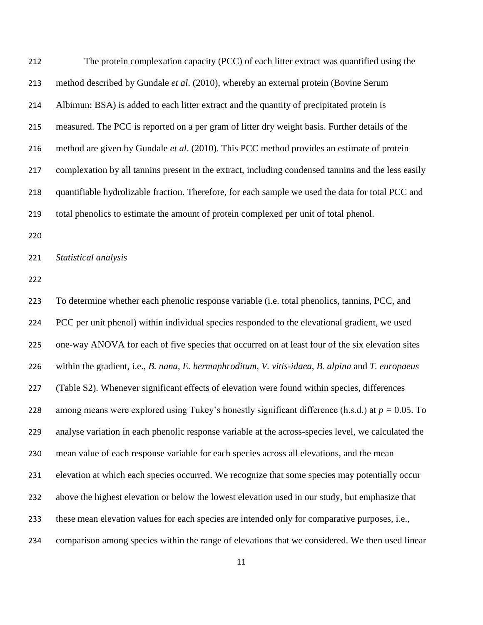| 212 | The protein complexation capacity (PCC) of each litter extract was quantified using the             |
|-----|-----------------------------------------------------------------------------------------------------|
| 213 | method described by Gundale et al. (2010), whereby an external protein (Bovine Serum                |
| 214 | Albimun; BSA) is added to each litter extract and the quantity of precipitated protein is           |
| 215 | measured. The PCC is reported on a per gram of litter dry weight basis. Further details of the      |
| 216 | method are given by Gundale <i>et al.</i> (2010). This PCC method provides an estimate of protein   |
| 217 | complexation by all tanning present in the extract, including condensed tanning and the less easily |
| 218 | quantifiable hydrolizable fraction. Therefore, for each sample we used the data for total PCC and   |
| 219 | total phenolics to estimate the amount of protein complexed per unit of total phenol.               |

*Statistical analysis*

 To determine whether each phenolic response variable (i.e. total phenolics, tannins, PCC, and PCC per unit phenol) within individual species responded to the elevational gradient, we used one-way ANOVA for each of five species that occurred on at least four of the six elevation sites within the gradient, i.e., *B. nana*, *E. hermaphroditum*, *V. vitis-idaea*, *B. alpina* and *T. europaeus* (Table S2). Whenever significant effects of elevation were found within species, differences among means were explored using Tukey's honestly significant difference (h.s.d.) at *p =* 0.05. To analyse variation in each phenolic response variable at the across-species level, we calculated the mean value of each response variable for each species across all elevations, and the mean elevation at which each species occurred. We recognize that some species may potentially occur above the highest elevation or below the lowest elevation used in our study, but emphasize that these mean elevation values for each species are intended only for comparative purposes, i.e., comparison among species within the range of elevations that we considered. We then used linear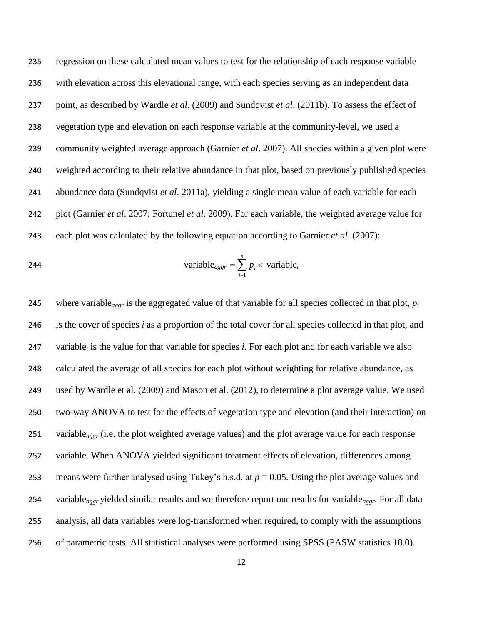regression on these calculated mean values to test for the relationship of each response variable with elevation across this elevational range, with each species serving as an independent data point, as described by Wardle *et al*. (2009) and Sundqvist *et al*. (2011b). To assess the effect of vegetation type and elevation on each response variable at the community-level, we used a community weighted average approach (Garnier *et al*. 2007). All species within a given plot were weighted according to their relative abundance in that plot, based on previously published species abundance data (Sundqvist *et al*. 2011a), yielding a single mean value of each variable for each plot (Garnier *et al*. 2007; Fortunel *et al*. 2009). For each variable, the weighted average value for each plot was calculated by the following equation according to Garnier *et al*. (2007):

$$
\text{variable}_{aggr} = \sum_{i=1}^{n} p_i \times \text{variable}_{i}
$$

 where variable*aggr* is the aggregated value of that variable for all species collected in that plot, *p<sup>i</sup>* is the cover of species *i* as a proportion of the total cover for all species collected in that plot, and variable*<sup>i</sup>* is the value for that variable for species *i*. For each plot and for each variable we also calculated the average of all species for each plot without weighting for relative abundance, as used by Wardle et al. (2009) and Mason et al. (2012), to determine a plot average value. We used two-way ANOVA to test for the effects of vegetation type and elevation (and their interaction) on variable*aggr* (i.e. the plot weighted average values) and the plot average value for each response 252 variable. When ANOVA yielded significant treatment effects of elevation, differences among means were further analysed using Tukey's h.s.d. at *p* = 0.05. Using the plot average values and variable*aggr* yielded similar results and we therefore report our results for variable*aggr*. For all data analysis, all data variables were log-transformed when required, to comply with the assumptions of parametric tests. All statistical analyses were performed using SPSS (PASW statistics 18.0).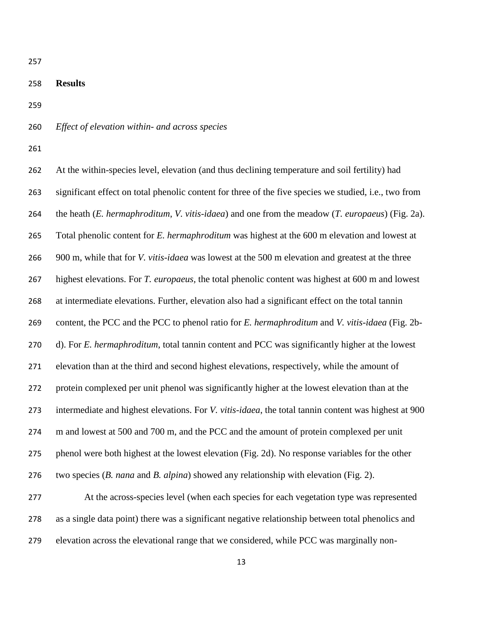### **Results**

- *Effect of elevation within- and across species*
- 

 At the within-species level, elevation (and thus declining temperature and soil fertility) had significant effect on total phenolic content for three of the five species we studied, i.e., two from the heath (*E. hermaphroditum*, *V. vitis-idaea*) and one from the meadow (*T. europaeus*) (Fig. 2a). Total phenolic content for *E. hermaphroditum* was highest at the 600 m elevation and lowest at 900 m, while that for *V. vitis-idaea* was lowest at the 500 m elevation and greatest at the three highest elevations. For *T. europaeus,* the total phenolic content was highest at 600 m and lowest at intermediate elevations. Further, elevation also had a significant effect on the total tannin content, the PCC and the PCC to phenol ratio for *E. hermaphroditum* and *V. vitis-idaea* (Fig. 2b- d). For *E. hermaphroditum*, total tannin content and PCC was significantly higher at the lowest elevation than at the third and second highest elevations, respectively, while the amount of protein complexed per unit phenol was significantly higher at the lowest elevation than at the intermediate and highest elevations. For *V. vitis-idaea*, the total tannin content was highest at 900 m and lowest at 500 and 700 m, and the PCC and the amount of protein complexed per unit phenol were both highest at the lowest elevation (Fig. 2d). No response variables for the other two species (*B. nana* and *B. alpina*) showed any relationship with elevation (Fig. 2).

 At the across-species level (when each species for each vegetation type was represented as a single data point) there was a significant negative relationship between total phenolics and elevation across the elevational range that we considered, while PCC was marginally non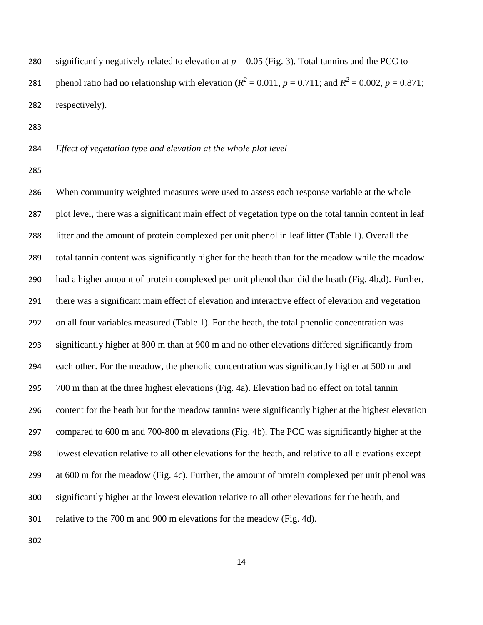280 significantly negatively related to elevation at  $p = 0.05$  (Fig. 3). Total tannins and the PCC to 281 phenol ratio had no relationship with elevation ( $R^2 = 0.011$ ,  $p = 0.711$ ; and  $R^2 = 0.002$ ,  $p = 0.871$ ; respectively).

*Effect of vegetation type and elevation at the whole plot level*

 When community weighted measures were used to assess each response variable at the whole plot level, there was a significant main effect of vegetation type on the total tannin content in leaf litter and the amount of protein complexed per unit phenol in leaf litter (Table 1). Overall the total tannin content was significantly higher for the heath than for the meadow while the meadow had a higher amount of protein complexed per unit phenol than did the heath (Fig. 4b,d). Further, there was a significant main effect of elevation and interactive effect of elevation and vegetation on all four variables measured (Table 1). For the heath, the total phenolic concentration was significantly higher at 800 m than at 900 m and no other elevations differed significantly from each other. For the meadow, the phenolic concentration was significantly higher at 500 m and 700 m than at the three highest elevations (Fig. 4a). Elevation had no effect on total tannin content for the heath but for the meadow tannins were significantly higher at the highest elevation compared to 600 m and 700-800 m elevations (Fig. 4b). The PCC was significantly higher at the lowest elevation relative to all other elevations for the heath, and relative to all elevations except at 600 m for the meadow (Fig. 4c). Further, the amount of protein complexed per unit phenol was significantly higher at the lowest elevation relative to all other elevations for the heath, and relative to the 700 m and 900 m elevations for the meadow (Fig. 4d).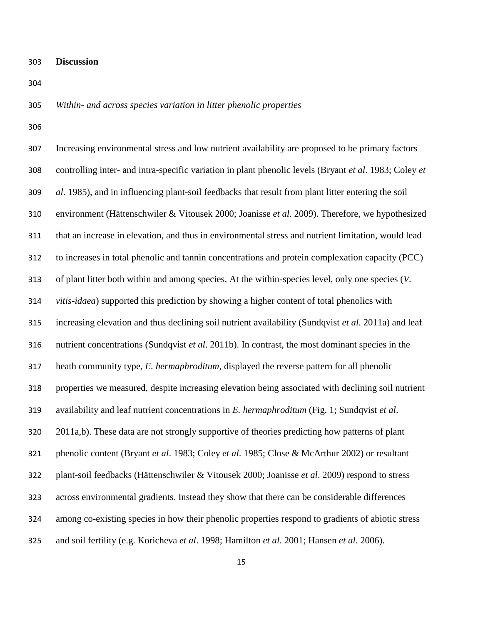- **Discussion**
- 

# *Within- and across species variation in litter phenolic properties*

| 307 | Increasing environmental stress and low nutrient availability are proposed to be primary factors       |
|-----|--------------------------------------------------------------------------------------------------------|
| 308 | controlling inter- and intra-specific variation in plant phenolic levels (Bryant et al. 1983; Coley et |
| 309 | al. 1985), and in influencing plant-soil feedbacks that result from plant litter entering the soil     |
| 310 | environment (Hättenschwiler & Vitousek 2000; Joanisse et al. 2009). Therefore, we hypothesized         |
| 311 | that an increase in elevation, and thus in environmental stress and nutrient limitation, would lead    |
| 312 | to increases in total phenolic and tannin concentrations and protein complexation capacity (PCC)       |
| 313 | of plant litter both within and among species. At the within-species level, only one species (V.       |
| 314 | vitis-idaea) supported this prediction by showing a higher content of total phenolics with             |
| 315 | increasing elevation and thus declining soil nutrient availability (Sundqvist et al. 2011a) and leaf   |
| 316 | nutrient concentrations (Sundqvist et al. 2011b). In contrast, the most dominant species in the        |
| 317 | heath community type, E. hermaphroditum, displayed the reverse pattern for all phenolic                |
| 318 | properties we measured, despite increasing elevation being associated with declining soil nutrient     |
| 319 | availability and leaf nutrient concentrations in E. hermaphroditum (Fig. 1; Sundqvist et al.           |
| 320 | 2011a,b). These data are not strongly supportive of theories predicting how patterns of plant          |
| 321 | phenolic content (Bryant et al. 1983; Coley et al. 1985; Close & McArthur 2002) or resultant           |
| 322 | plant-soil feedbacks (Hättenschwiler & Vitousek 2000; Joanisse et al. 2009) respond to stress          |
| 323 | across environmental gradients. Instead they show that there can be considerable differences           |
| 324 | among co-existing species in how their phenolic properties respond to gradients of abiotic stress      |
| 325 | and soil fertility (e.g. Koricheva et al. 1998; Hamilton et al. 2001; Hansen et al. 2006).             |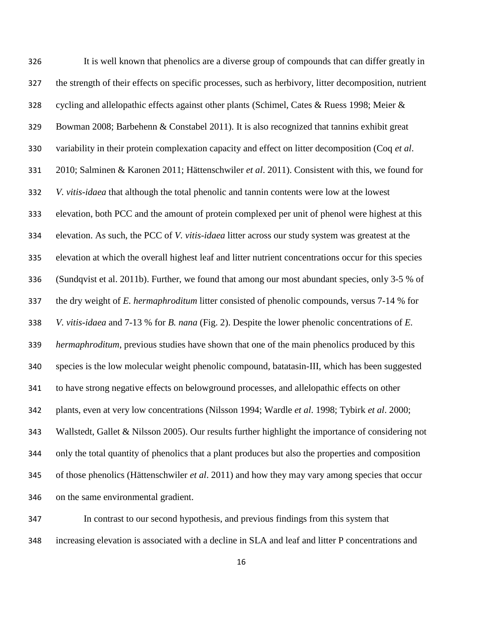It is well known that phenolics are a diverse group of compounds that can differ greatly in the strength of their effects on specific processes, such as herbivory, litter decomposition, nutrient cycling and allelopathic effects against other plants (Schimel, Cates & Ruess 1998; Meier & Bowman 2008; Barbehenn & Constabel 2011). It is also recognized that tannins exhibit great variability in their protein complexation capacity and effect on litter decomposition (Coq *et al*. 2010; Salminen & Karonen 2011; Hättenschwiler *et al*. 2011). Consistent with this, we found for *V. vitis-idaea* that although the total phenolic and tannin contents were low at the lowest elevation, both PCC and the amount of protein complexed per unit of phenol were highest at this elevation. As such, the PCC of *V. vitis-idaea* litter across our study system was greatest at the elevation at which the overall highest leaf and litter nutrient concentrations occur for this species (Sundqvist et al. 2011b). Further, we found that among our most abundant species, only 3-5 % of the dry weight of *E. hermaphroditum* litter consisted of phenolic compounds, versus 7-14 % for *V. vitis-idaea* and 7-13 % for *B. nana* (Fig. 2). Despite the lower phenolic concentrations of *E. hermaphroditum*, previous studies have shown that one of the main phenolics produced by this species is the low molecular weight phenolic compound, batatasin-III, which has been suggested to have strong negative effects on belowground processes, and allelopathic effects on other plants, even at very low concentrations (Nilsson 1994; Wardle *et al*. 1998; Tybirk *et al*. 2000; Wallstedt, Gallet & Nilsson 2005). Our results further highlight the importance of considering not only the total quantity of phenolics that a plant produces but also the properties and composition of those phenolics (Hättenschwiler *et al*. 2011) and how they may vary among species that occur on the same environmental gradient.

 In contrast to our second hypothesis, and previous findings from this system that increasing elevation is associated with a decline in SLA and leaf and litter P concentrations and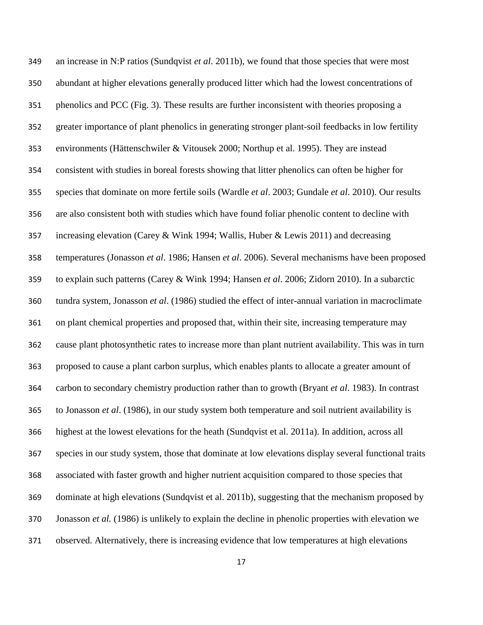an increase in N:P ratios (Sundqvist *et al*. 2011b), we found that those species that were most abundant at higher elevations generally produced litter which had the lowest concentrations of phenolics and PCC (Fig. 3). These results are further inconsistent with theories proposing a greater importance of plant phenolics in generating stronger plant-soil feedbacks in low fertility environments (Hättenschwiler & Vitousek 2000; Northup et al. 1995). They are instead consistent with studies in boreal forests showing that litter phenolics can often be higher for species that dominate on more fertile soils (Wardle *et al*. 2003; Gundale *et al*. 2010). Our results are also consistent both with studies which have found foliar phenolic content to decline with increasing elevation (Carey & Wink 1994; Wallis, Huber & Lewis 2011) and decreasing temperatures (Jonasson *et al*. 1986; Hansen *et al*. 2006). Several mechanisms have been proposed to explain such patterns (Carey & Wink 1994; Hansen *et al*. 2006; Zidorn 2010). In a subarctic tundra system, Jonasson *et al*. (1986) studied the effect of inter-annual variation in macroclimate on plant chemical properties and proposed that, within their site, increasing temperature may cause plant photosynthetic rates to increase more than plant nutrient availability. This was in turn proposed to cause a plant carbon surplus, which enables plants to allocate a greater amount of carbon to secondary chemistry production rather than to growth (Bryant *et al*. 1983). In contrast to Jonasson *et al*. (1986), in our study system both temperature and soil nutrient availability is highest at the lowest elevations for the heath (Sundqvist et al. 2011a). In addition, across all species in our study system, those that dominate at low elevations display several functional traits associated with faster growth and higher nutrient acquisition compared to those species that dominate at high elevations (Sundqvist et al. 2011b), suggesting that the mechanism proposed by Jonasson *et al.* (1986) is unlikely to explain the decline in phenolic properties with elevation we observed. Alternatively, there is increasing evidence that low temperatures at high elevations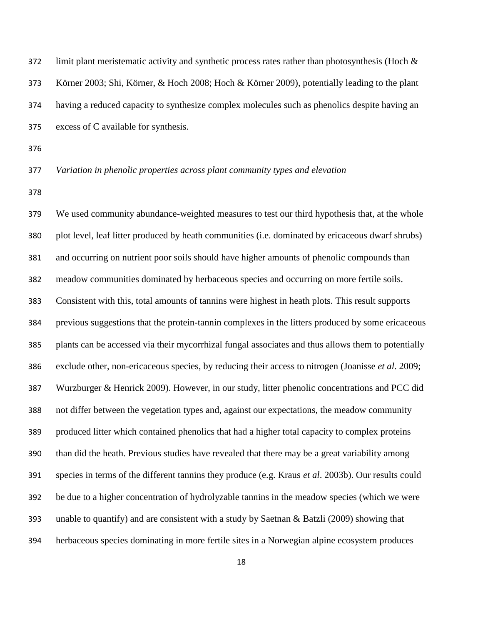372 limit plant meristematic activity and synthetic process rates rather than photosynthesis (Hoch  $\&$  Körner 2003; Shi, Körner, & Hoch 2008; Hoch & Körner 2009), potentially leading to the plant having a reduced capacity to synthesize complex molecules such as phenolics despite having an excess of C available for synthesis.

# *Variation in phenolic properties across plant community types and elevation*

 We used community abundance-weighted measures to test our third hypothesis that, at the whole plot level, leaf litter produced by heath communities (i.e. dominated by ericaceous dwarf shrubs) and occurring on nutrient poor soils should have higher amounts of phenolic compounds than meadow communities dominated by herbaceous species and occurring on more fertile soils. Consistent with this, total amounts of tannins were highest in heath plots. This result supports previous suggestions that the protein-tannin complexes in the litters produced by some ericaceous plants can be accessed via their mycorrhizal fungal associates and thus allows them to potentially exclude other, non-ericaceous species, by reducing their access to nitrogen (Joanisse *et al*. 2009; Wurzburger & Henrick 2009). However, in our study, litter phenolic concentrations and PCC did not differ between the vegetation types and, against our expectations, the meadow community produced litter which contained phenolics that had a higher total capacity to complex proteins than did the heath. Previous studies have revealed that there may be a great variability among species in terms of the different tannins they produce (e.g. Kraus *et al*. 2003b). Our results could be due to a higher concentration of hydrolyzable tannins in the meadow species (which we were unable to quantify) and are consistent with a study by Saetnan & Batzli (2009) showing that herbaceous species dominating in more fertile sites in a Norwegian alpine ecosystem produces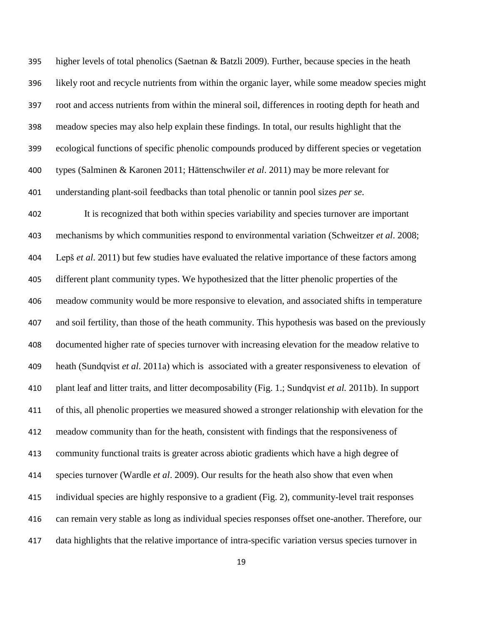395 higher levels of total phenolics (Saetnan  $\&$  Batzli 2009). Further, because species in the heath likely root and recycle nutrients from within the organic layer, while some meadow species might root and access nutrients from within the mineral soil, differences in rooting depth for heath and meadow species may also help explain these findings. In total, our results highlight that the ecological functions of specific phenolic compounds produced by different species or vegetation types (Salminen & Karonen 2011; Hättenschwiler *et al*. 2011) may be more relevant for understanding plant-soil feedbacks than total phenolic or tannin pool sizes *per se*.

 It is recognized that both within species variability and species turnover are important mechanisms by which communities respond to environmental variation (Schweitzer *et al*. 2008; Lepš *et al*. 2011) but few studies have evaluated the relative importance of these factors among different plant community types. We hypothesized that the litter phenolic properties of the meadow community would be more responsive to elevation, and associated shifts in temperature and soil fertility, than those of the heath community. This hypothesis was based on the previously documented higher rate of species turnover with increasing elevation for the meadow relative to heath (Sundqvist *et al*. 2011a) which is associated with a greater responsiveness to elevation of plant leaf and litter traits, and litter decomposability (Fig. 1.; Sundqvist *et al.* 2011b). In support of this, all phenolic properties we measured showed a stronger relationship with elevation for the meadow community than for the heath, consistent with findings that the responsiveness of community functional traits is greater across abiotic gradients which have a high degree of species turnover (Wardle *et al*. 2009). Our results for the heath also show that even when individual species are highly responsive to a gradient (Fig. 2), community-level trait responses can remain very stable as long as individual species responses offset one-another. Therefore, our data highlights that the relative importance of intra-specific variation versus species turnover in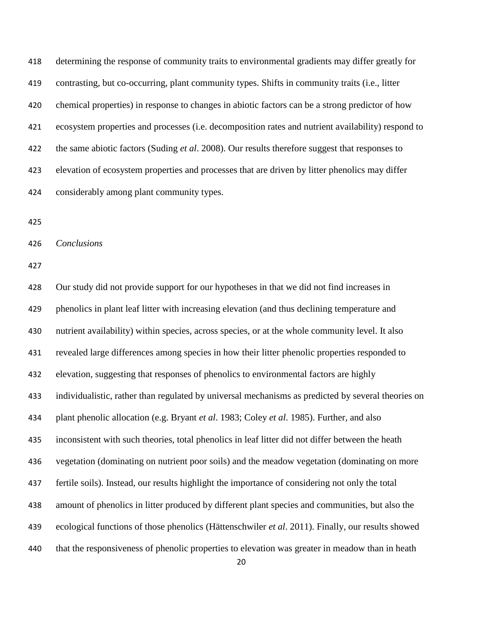determining the response of community traits to environmental gradients may differ greatly for contrasting, but co-occurring, plant community types. Shifts in community traits (i.e., litter chemical properties) in response to changes in abiotic factors can be a strong predictor of how ecosystem properties and processes (i.e. decomposition rates and nutrient availability) respond to the same abiotic factors (Suding *et al*. 2008). Our results therefore suggest that responses to elevation of ecosystem properties and processes that are driven by litter phenolics may differ considerably among plant community types.

*Conclusions*

 Our study did not provide support for our hypotheses in that we did not find increases in phenolics in plant leaf litter with increasing elevation (and thus declining temperature and nutrient availability) within species, across species, or at the whole community level. It also revealed large differences among species in how their litter phenolic properties responded to elevation, suggesting that responses of phenolics to environmental factors are highly individualistic, rather than regulated by universal mechanisms as predicted by several theories on plant phenolic allocation (e.g. Bryant *et al*. 1983; Coley *et al*. 1985). Further, and also inconsistent with such theories, total phenolics in leaf litter did not differ between the heath vegetation (dominating on nutrient poor soils) and the meadow vegetation (dominating on more fertile soils). Instead, our results highlight the importance of considering not only the total amount of phenolics in litter produced by different plant species and communities, but also the ecological functions of those phenolics (Hättenschwiler *et al*. 2011). Finally, our results showed that the responsiveness of phenolic properties to elevation was greater in meadow than in heath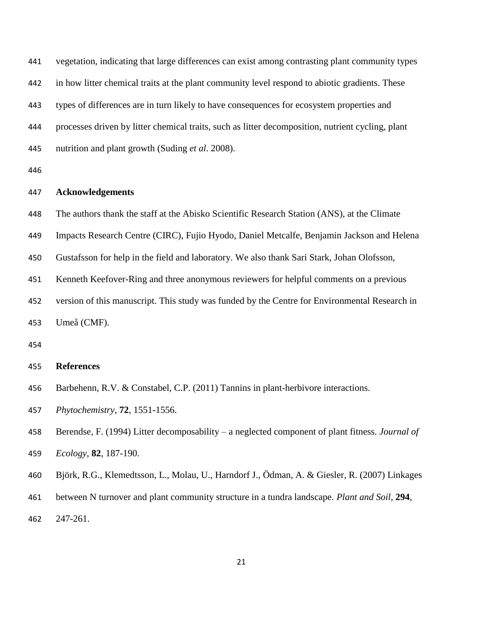vegetation, indicating that large differences can exist among contrasting plant community types in how litter chemical traits at the plant community level respond to abiotic gradients. These types of differences are in turn likely to have consequences for ecosystem properties and processes driven by litter chemical traits, such as litter decomposition, nutrient cycling, plant nutrition and plant growth (Suding *et al*. 2008). **Acknowledgements** The authors thank the staff at the Abisko Scientific Research Station (ANS), at the Climate Impacts Research Centre (CIRC), Fujio Hyodo, Daniel Metcalfe, Benjamin Jackson and Helena Gustafsson for help in the field and laboratory. We also thank Sari Stark, Johan Olofsson, Kenneth Keefover-Ring and three anonymous reviewers for helpful comments on a previous version of this manuscript. This study was funded by the Centre for Environmental Research in Umeå (CMF). 

## **References**

- Barbehenn, R.V. & Constabel, C.P. (2011) Tannins in plant-herbivore interactions.
- *Phytochemistry*, **72**, 1551-1556.
- Berendse, F. (1994) Litter decomposability a neglected component of plant fitness. *Journal of Ecology*, **82**, 187-190.
- Björk, R.G., Klemedtsson, L., Molau, U., Harndorf J., Ödman, A. & Giesler, R. (2007) Linkages
- between N turnover and plant community structure in a tundra landscape. *Plant and Soil*, **294**, 247-261.
	-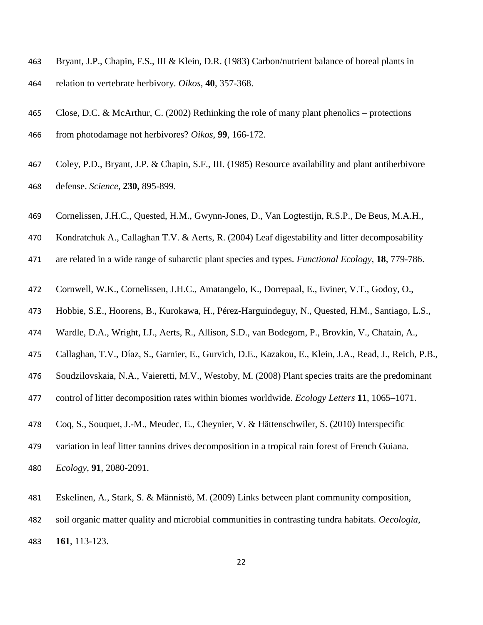- Bryant, J.P., Chapin, F.S., III & Klein, D.R. (1983) Carbon/nutrient balance of boreal plants in relation to vertebrate herbivory. *Oikos*, **40**, 357-368.
- Close, D.C. & McArthur, C. (2002) Rethinking the role of many plant phenolics protections from photodamage not herbivores? *Oikos*, **99**, 166-172.
- Coley, P.D., Bryant, J.P. & Chapin, S.F., III. (1985) Resource availability and plant antiherbivore defense. *Science*, **230,** 895-899.
- Cornelissen, J.H.C., Quested, H.M., Gwynn-Jones, D., Van Logtestijn, R.S.P., De Beus, M.A.H.,
- Kondratchuk A., Callaghan T.V. & Aerts, R. (2004) Leaf digestability and litter decomposability
- are related in a wide range of subarctic plant species and types. *Functional Ecology*, **18**, 779-786.
- Cornwell, W.K., Cornelissen, J.H.C., Amatangelo, K., Dorrepaal, E., Eviner, V.T., Godoy, O.,
- Hobbie, S.E., Hoorens, B., Kurokawa, H., Pérez-Harguindeguy, N., Quested, H.M., Santiago, L.S.,
- Wardle, D.A., Wright, I.J., Aerts, R., Allison, S.D., van Bodegom, P., Brovkin, V., Chatain, A.,
- Callaghan, T.V., Díaz, S., Garnier, E., Gurvich, D.E., Kazakou, E., Klein, J.A., Read, J., Reich, P.B.,
- Soudzilovskaia, N.A., Vaieretti, M.V., Westoby, M. (2008) Plant species traits are the predominant
- control of litter decomposition rates within biomes worldwide. *Ecology Letters* **11**, 1065–1071.
- Coq, S., Souquet, J.-M., Meudec, E., Cheynier, V. & Hättenschwiler, S. (2010) Interspecific
- variation in leaf litter tannins drives decomposition in a tropical rain forest of French Guiana.
- *Ecology*, **91**, 2080-2091.
- Eskelinen, A., Stark, S. & Männistö, M. (2009) Links between plant community composition,
- soil organic matter quality and microbial communities in contrasting tundra habitats. *Oecologia*,
- **161**, 113-123.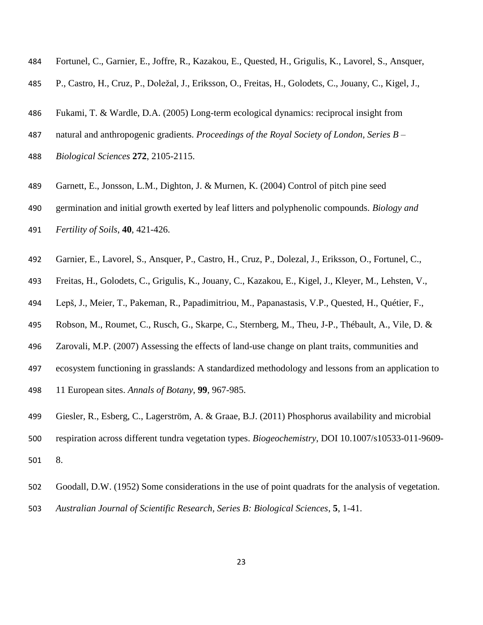- Fortunel, C., Garnier, E., Joffre, R., Kazakou, E., Quested, H., Grigulis, K., Lavorel, S., Ansquer,
- P., Castro, H., Cruz, P., Doležal, J., Eriksson, O., Freitas, H., Golodets, C., Jouany, C., Kigel, J.,
- Fukami, T. & Wardle, D.A. (2005) Long-term ecological dynamics: reciprocal insight from
- natural and anthropogenic gradients. *Proceedings of the Royal Society of London, Series B* –
- *Biological Sciences* **272**, 2105-2115.
- Garnett, E., Jonsson, L.M., Dighton, J. & Murnen, K. (2004) Control of pitch pine seed
- germination and initial growth exerted by leaf litters and polyphenolic compounds. *Biology and*
- *Fertility of Soils*, **40**, 421-426.
- Garnier, E., Lavorel, S., Ansquer, P., Castro, H., Cruz, P., Dolezal, J., Eriksson, O., Fortunel, C.,
- Freitas, H., Golodets, C., Grigulis, K., Jouany, C., Kazakou, E., Kigel, J., Kleyer, M., Lehsten, V.,
- Lepš, J., Meier, T., Pakeman, R., Papadimitriou, M., Papanastasis, V.P., Quested, H., Quétier, F.,
- Robson, M., Roumet, C., Rusch, G., Skarpe, C., Sternberg, M., Theu, J-P., Thébault, A., Vile, D. &
- Zarovali, M.P. (2007) Assessing the effects of land-use change on plant traits, communities and
- ecosystem functioning in grasslands: A standardized methodology and lessons from an application to
- 11 European sites. *Annals of Botany*, **99**, 967-985.
- Giesler, R., Esberg, C., Lagerström, A. & Graae, B.J. (2011) Phosphorus availability and microbial
- respiration across different tundra vegetation types. *Biogeochemistry*, DOI 10.1007/s10533-011-9609-
- 8.
- Goodall, D.W. (1952) Some considerations in the use of point quadrats for the analysis of vegetation. *Australian Journal of Scientific Research, Series B: Biological Sciences*, **5**, 1-41.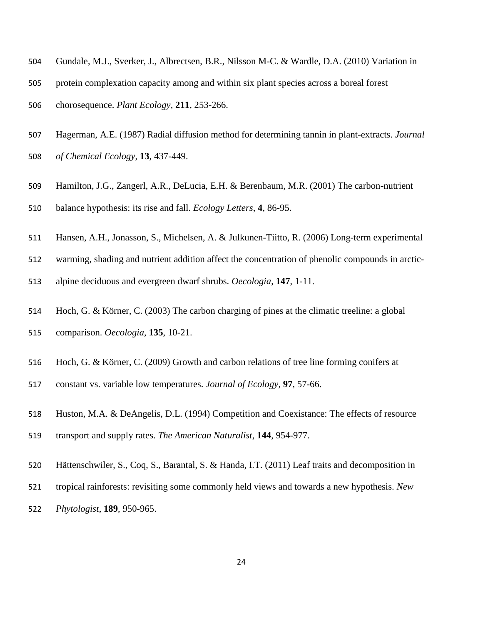- Gundale, M.J., Sverker, J., Albrectsen, B.R., Nilsson M-C. & Wardle, D.A. (2010) Variation in
- protein complexation capacity among and within six plant species across a boreal forest
- chorosequence. *Plant Ecology,* **211**, 253-266.
- Hagerman, A.E. (1987) Radial diffusion method for determining tannin in plant-extracts. *Journal of Chemical Ecology*, **13**, 437-449.
- Hamilton, J.G., Zangerl, A.R., DeLucia, E.H. & Berenbaum, M.R. (2001) The carbon-nutrient
- balance hypothesis: its rise and fall. *Ecology Letters*, **4**, 86-95.
- Hansen, A.H., Jonasson, S., Michelsen, A. & Julkunen-Tiitto, R. (2006) Long-term experimental
- warming, shading and nutrient addition affect the concentration of phenolic compounds in arctic-
- alpine deciduous and evergreen dwarf shrubs. *Oecologia*, **147**, 1-11.
- Hoch, G. & Körner, C. (2003) The carbon charging of pines at the climatic treeline: a global comparison. *Oecologia*, **135**, 10-21.
- Hoch, G. & Körner, C. (2009) Growth and carbon relations of tree line forming conifers at
- constant vs. variable low temperatures. *Journal of Ecology*, **97**, 57-66.
- Huston, M.A. & DeAngelis, D.L. (1994) Competition and Coexistance: The effects of resource transport and supply rates. *The American Naturalist*, **144**, 954-977.
- Hättenschwiler, S., Coq, S., Barantal, S. & Handa, I.T. (2011) Leaf traits and decomposition in
- tropical rainforests: revisiting some commonly held views and towards a new hypothesis. *New Phytologist*, **189**, 950-965.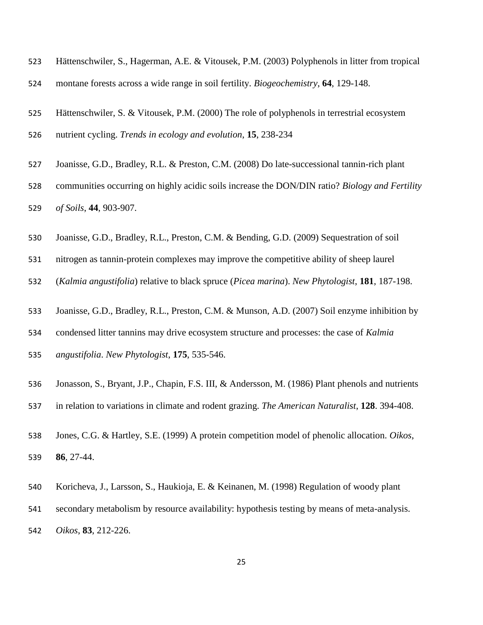- Hättenschwiler, S., Hagerman, A.E. & Vitousek, P.M. (2003) Polyphenols in litter from tropical
- montane forests across a wide range in soil fertility. *Biogeochemistry*, **64**, 129-148.
- Hättenschwiler, S. & Vitousek, P.M. (2000) The role of polyphenols in terrestrial ecosystem
- nutrient cycling. *Trends in ecology and evolution*, **15**, 238-234
- Joanisse, G.D., Bradley, R.L. & Preston, C.M. (2008) Do late-successional tannin-rich plant
- communities occurring on highly acidic soils increase the DON/DIN ratio? *Biology and Fertility of Soils*, **44**, 903-907.
- Joanisse, G.D., Bradley, R.L., Preston, C.M. & Bending, G.D. (2009) Sequestration of soil
- nitrogen as tannin-protein complexes may improve the competitive ability of sheep laurel
- (*Kalmia angustifolia*) relative to black spruce (*Picea marina*). *New Phytologist*, **181**, 187-198.
- Joanisse, G.D., Bradley, R.L., Preston, C.M. & Munson, A.D. (2007) Soil enzyme inhibition by
- condensed litter tannins may drive ecosystem structure and processes: the case of *Kalmia*
- *angustifolia*. *New Phytologist*, **175**, 535-546.
- Jonasson, S., Bryant, J.P., Chapin, F.S. III, & Andersson, M. (1986) Plant phenols and nutrients
- in relation to variations in climate and rodent grazing. *The American Naturalist*, **128**. 394-408.
- Jones, C.G. & Hartley, S.E. (1999) A protein competition model of phenolic allocation. *Oikos*, **86**, 27-44.
- Koricheva, J., Larsson, S., Haukioja, E. & Keinanen, M. (1998) Regulation of woody plant
- secondary metabolism by resource availability: hypothesis testing by means of meta-analysis.
- *Oikos*, **83**, 212-226.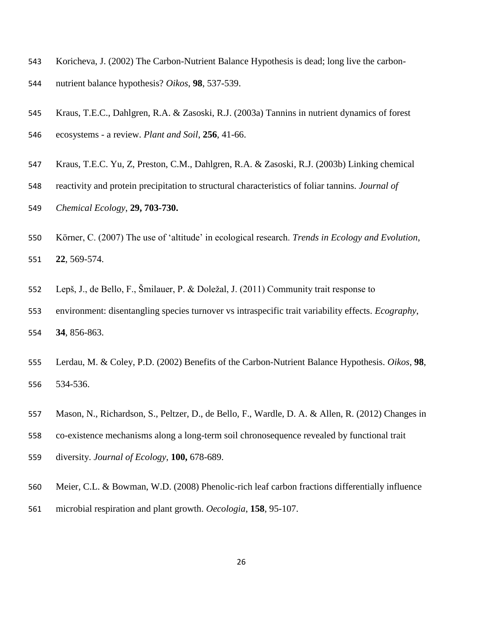- Koricheva, J. (2002) The Carbon-Nutrient Balance Hypothesis is dead; long live the carbon-nutrient balance hypothesis? *Oikos*, **98**, 537-539.
- Kraus, T.E.C., Dahlgren, R.A. & Zasoski, R.J. (2003a) Tannins in nutrient dynamics of forest ecosystems - a review. *Plant and Soil*, **256**, 41-66.
- Kraus, T.E.C. Yu, Z, Preston, C.M., Dahlgren, R.A. & Zasoski, R.J. (2003b) Linking chemical
- reactivity and protein precipitation to structural characteristics of foliar tannins. *Journal of Chemical Ecology*, **29, 703-730.**
- Körner, C. (2007) The use of 'altitude' in ecological research. *Trends in Ecology and Evolution*, **22**, 569-574.
- Lepš, J., de Bello, F., Šmilauer, P. & Doležal, J. (2011) Community trait response to
- environment: disentangling species turnover vs intraspecific trait variability effects. *Ecography*, **34**, 856-863.
- Lerdau, M. & Coley, P.D. (2002) Benefits of the Carbon-Nutrient Balance Hypothesis. *Oikos*, **98**, 534-536.
- Mason, N., Richardson, S., Peltzer, D., de Bello, F., Wardle, D. A. & Allen, R. (2012) Changes in
- co-existence mechanisms along a long-term soil chronosequence revealed by functional trait
- diversity. *Journal of Ecology*, **100,** 678-689.
- Meier, C.L. & Bowman, W.D. (2008) Phenolic-rich leaf carbon fractions differentially influence microbial respiration and plant growth. *Oecologia*, **158**, 95-107.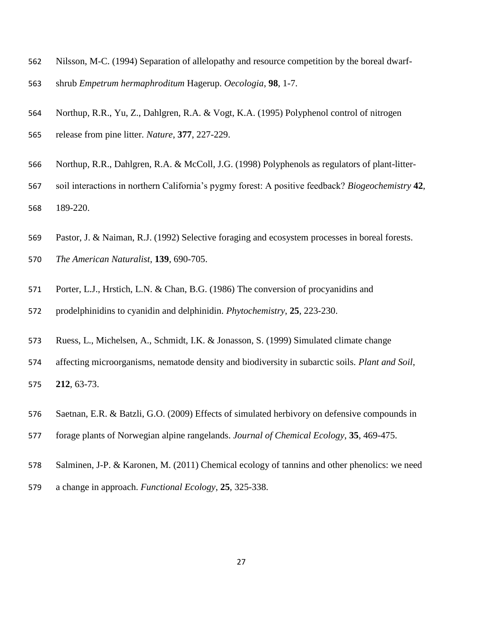- Nilsson, M-C. (1994) Separation of allelopathy and resource competition by the boreal dwarf-
- shrub *Empetrum hermaphroditum* Hagerup. *Oecologia*, **98**, 1-7.
- Northup, R.R., Yu, Z., Dahlgren, R.A. & Vogt, K.A. (1995) Polyphenol control of nitrogen
- release from pine litter. *Nature*, **377**, 227-229.
- Northup, R.R., Dahlgren, R.A. & McColl, J.G. (1998) Polyphenols as regulators of plant-litter-
- soil interactions in northern California's pygmy forest: A positive feedback? *Biogeochemistry* **42**, 189-220.
- Pastor, J. & Naiman, R.J. (1992) Selective foraging and ecosystem processes in boreal forests.
- *The American Naturalist*, **139**, 690-705.
- Porter, L.J., Hrstich, L.N. & Chan, B.G. (1986) The conversion of procyanidins and
- prodelphinidins to cyanidin and delphinidin. *Phytochemistry*, **25**, 223-230.
- Ruess, L., Michelsen, A., Schmidt, I.K. & Jonasson, S. (1999) Simulated climate change
- affecting microorganisms, nematode density and biodiversity in subarctic soils. *Plant and Soil*, **212**, 63-73.
- Saetnan, E.R. & Batzli, G.O. (2009) Effects of simulated herbivory on defensive compounds in
- forage plants of Norwegian alpine rangelands. *Journal of Chemical Ecology*, **35**, 469-475.
- Salminen, J-P. & Karonen, M. (2011) Chemical ecology of tannins and other phenolics: we need
- a change in approach. *Functional Ecology*, **25**, 325-338.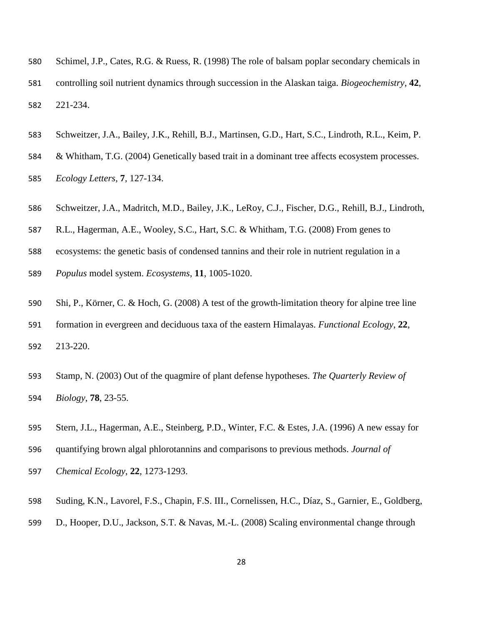- Schimel, J.P., Cates, R.G. & Ruess, R. (1998) The role of balsam poplar secondary chemicals in controlling soil nutrient dynamics through succession in the Alaskan taiga. *Biogeochemistry*, **42**, 221-234.
- Schweitzer, J.A., Bailey, J.K., Rehill, B.J., Martinsen, G.D., Hart, S.C., Lindroth, R.L., Keim, P.
- & Whitham, T.G. (2004) Genetically based trait in a dominant tree affects ecosystem processes.
- *Ecology Letters*, **7**, 127-134.
- Schweitzer, J.A., Madritch, M.D., Bailey, J.K., LeRoy, C.J., Fischer, D.G., Rehill, B.J., Lindroth,
- R.L., Hagerman, A.E., Wooley, S.C., Hart, S.C. & Whitham, T.G. (2008) From genes to
- ecosystems: the genetic basis of condensed tannins and their role in nutrient regulation in a
- *Populus* model system. *Ecosystems*, **11**, 1005-1020.
- Shi, P., Körner, C. & Hoch, G. (2008) A test of the growth-limitation theory for alpine tree line formation in evergreen and deciduous taxa of the eastern Himalayas. *Functional Ecology*, **22**,
- 213-220.
- Stamp, N. (2003) Out of the quagmire of plant defense hypotheses. *The Quarterly Review of Biology*, **78**, 23-55.
- Stern, J.L., Hagerman, A.E., Steinberg, P.D., Winter, F.C. & Estes, J.A. (1996) A new essay for
- quantifying brown algal phlorotannins and comparisons to previous methods. *Journal of*
- *Chemical Ecology*, **22**, 1273-1293.
- Suding, K.N., Lavorel, F.S., Chapin, F.S. III., Cornelissen, H.C., Díaz, S., Garnier, E., Goldberg,
- D., Hooper, D.U., Jackson, S.T. & Navas, M.-L. (2008) Scaling environmental change through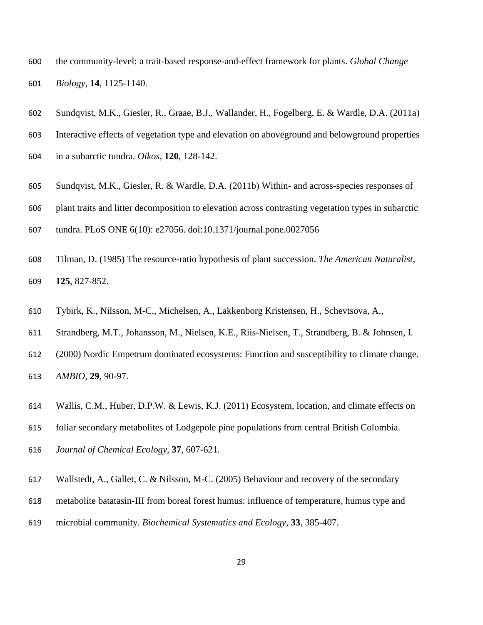- the community-level: a trait-based response-and-effect framework for plants. *Global Change Biology*, **14**, 1125-1140.
- Sundqvist, M.K., Giesler, R., Graae, B.J., Wallander, H., Fogelberg, E. & Wardle, D.A. (2011a)
- Interactive effects of vegetation type and elevation on aboveground and belowground properties
- in a subarctic tundra. *Oikos*, **120**, 128-142.
- Sundqvist, M.K., Giesler, R. & Wardle, D.A. (2011b) Within- and across-species responses of
- plant traits and litter decomposition to elevation across contrasting vegetation types in subarctic
- tundra. PLoS ONE 6(10): e27056. doi:10.1371/journal.pone.0027056
- Tilman, D. (1985) The resource-ratio hypothesis of plant succession. *The American Naturalist*, **125**, 827-852.
- Tybirk, K., Nilsson, M-C., Michelsen, A., Lakkenborg Kristensen, H., Schevtsova, A.,
- Strandberg, M.T., Johansson, M., Nielsen, K.E., Riis-Nielsen, T., Strandberg, B. & Johnsen, I.
- (2000) Nordic Empetrum dominated ecosystems: Function and susceptibility to climate change. *AMBIO*, **29**, 90-97.
- Wallis, C.M., Huber, D.P.W. & Lewis, K.J. (2011) Ecosystem, location, and climate effects on
- foliar secondary metabolites of Lodgepole pine populations from central British Colombia.
- *Journal of Chemical Ecology*, **37**, 607-621.
- Wallstedt, A., Gallet, C. & Nilsson, M-C. (2005) Behaviour and recovery of the secondary
- metabolite batatasin-III from boreal forest humus: influence of temperature, humus type and
- microbial community. *Biochemical Systematics and Ecology*, **33**, 385-407.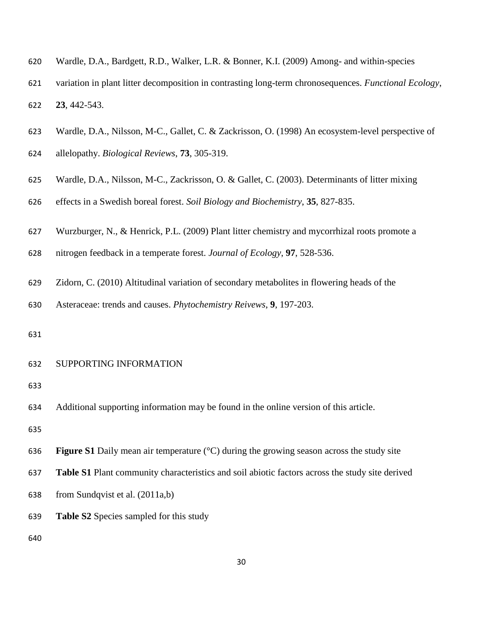- Wardle, D.A., Bardgett, R.D., Walker, L.R. & Bonner, K.I. (2009) Among- and within-species
- variation in plant litter decomposition in contrasting long-term chronosequences. *Functional Ecology*, **23**, 442-543.
- Wardle, D.A., Nilsson, M-C., Gallet, C. & Zackrisson, O. (1998) An ecosystem-level perspective of
- allelopathy. *Biological Reviews*, **73**, 305-319.
- Wardle, D.A., Nilsson, M-C., Zackrisson, O. & Gallet, C. (2003). Determinants of litter mixing
- effects in a Swedish boreal forest. *Soil Biology and Biochemistry*, **35**, 827-835.
- Wurzburger, N., & Henrick, P.L. (2009) Plant litter chemistry and mycorrhizal roots promote a
- nitrogen feedback in a temperate forest. *Journal of Ecology*, **97**, 528-536.
- Zidorn, C. (2010) Altitudinal variation of secondary metabolites in flowering heads of the
- Asteraceae: trends and causes. *Phytochemistry Reivews*, **9**, 197-203.
- 

## SUPPORTING INFORMATION

Additional supporting information may be found in the online version of this article.

- **Figure S1** Daily mean air temperature (°C) during the growing season across the study site
- **Table S1** Plant community characteristics and soil abiotic factors across the study site derived
- from Sundqvist et al. (2011a,b)
- **Table S2** Species sampled for this study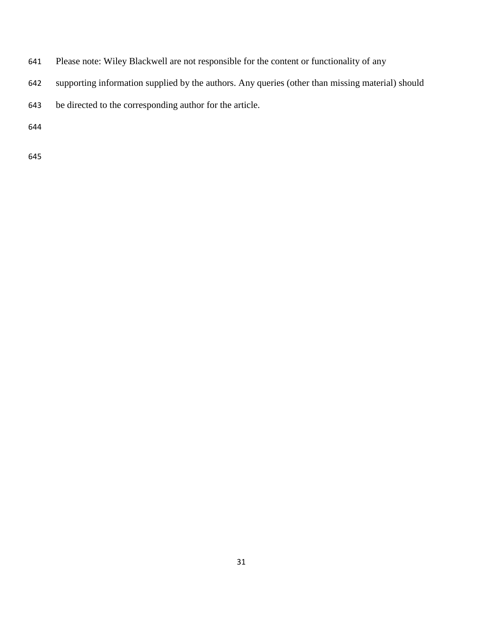- Please note: Wiley Blackwell are not responsible for the content or functionality of any
- supporting information supplied by the authors. Any queries (other than missing material) should
- be directed to the corresponding author for the article.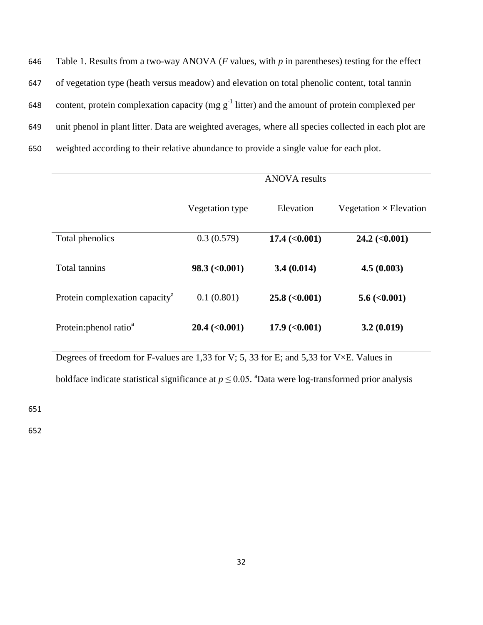| 646 | Table 1. Results from a two-way ANOVA ( $F$ values, with $p$ in parentheses) testing for the effect   |
|-----|-------------------------------------------------------------------------------------------------------|
| 647 | of vegetation type (heath versus meadow) and elevation on total phenolic content, total tannin        |
| 648 | content, protein complexation capacity (mg $g^{-1}$ litter) and the amount of protein complexed per   |
| 649 | unit phenol in plant litter. Data are weighted averages, where all species collected in each plot are |
| 650 | weighted according to their relative abundance to provide a single value for each plot.               |

|                                            |                             | <b>ANOVA</b> results        |                               |
|--------------------------------------------|-----------------------------|-----------------------------|-------------------------------|
|                                            | Vegetation type             | Elevation                   | Vegetation $\times$ Elevation |
| Total phenolics                            | 0.3(0.579)                  | $17.4 \; (\textless 0.001)$ | $24.2 \; (\textless 0.001)$   |
| <b>Total tannins</b>                       | $98.3 \; (\textless 0.001)$ | 3.4(0.014)                  | 4.5(0.003)                    |
| Protein complexation capacity <sup>a</sup> | 0.1(0.801)                  | $25.8 \; (\textless 0.001)$ | $5.6 \; (0.001)$              |
| Protein: phenol ratio <sup>a</sup>         | $20.4 \, (\leq 0.001)$      | $17.9$ (<0.001)             | 3.2(0.019)                    |

Degrees of freedom for F-values are 1,33 for V; 5, 33 for E; and 5,33 for V×E. Values in

boldface indicate statistical significance at  $p \le 0.05$ . <sup>a</sup>Data were log-transformed prior analysis

651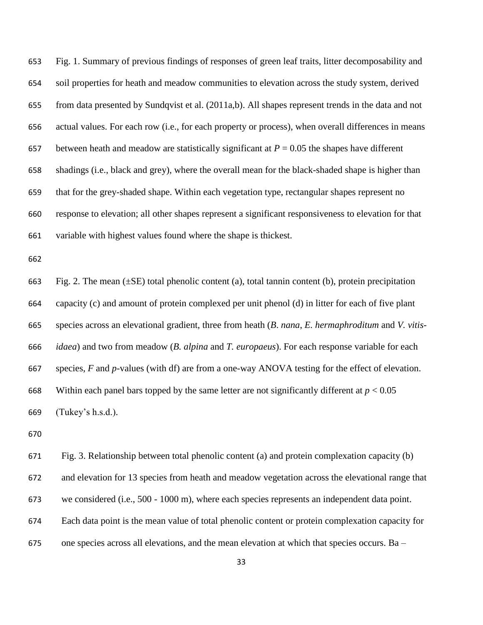Fig. 1. Summary of previous findings of responses of green leaf traits, litter decomposability and soil properties for heath and meadow communities to elevation across the study system, derived from data presented by Sundqvist et al. (2011a,b). All shapes represent trends in the data and not actual values. For each row (i.e., for each property or process), when overall differences in means 657 between heath and meadow are statistically significant at  $P = 0.05$  the shapes have different shadings (i.e., black and grey), where the overall mean for the black-shaded shape is higher than that for the grey-shaded shape. Within each vegetation type, rectangular shapes represent no response to elevation; all other shapes represent a significant responsiveness to elevation for that variable with highest values found where the shape is thickest.

663 Fig. 2. The mean  $(\pm SE)$  total phenolic content (a), total tannin content (b), protein precipitation capacity (c) and amount of protein complexed per unit phenol (d) in litter for each of five plant species across an elevational gradient, three from heath (*B*. *nana*, *E. hermaphroditum* and *V. vitis- idaea*) and two from meadow (*B. alpina* and *T. europaeus*). For each response variable for each species, *F* and *p*-values (with df) are from a one-way ANOVA testing for the effect of elevation. 668 Within each panel bars topped by the same letter are not significantly different at  $p < 0.05$ (Tukey's h.s.d.).

 Fig. 3. Relationship between total phenolic content (a) and protein complexation capacity (b) and elevation for 13 species from heath and meadow vegetation across the elevational range that we considered (i.e., 500 - 1000 m), where each species represents an independent data point. Each data point is the mean value of total phenolic content or protein complexation capacity for one species across all elevations, and the mean elevation at which that species occurs. Ba –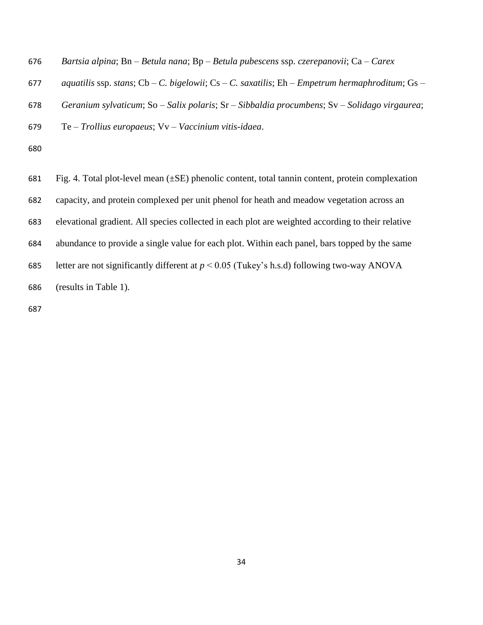| 676 | Bartsia alpina; Bn – Betula nana; Bp – Betula pubescens ssp. czerepanovii; Ca – Carex          |
|-----|------------------------------------------------------------------------------------------------|
| 677 | aquatilis ssp. stans; Cb – C. bigelowii; Cs – C. saxatilis; Eh – Empetrum hermaphroditum; Gs – |
| 678 | Geranium sylvaticum; So – Salix polaris; Sr – Sibbaldia procumbens; Sv – Solidago virgaurea;   |
| 679 | $Te$ – Trollius europaeus; $Vv$ – Vaccinium vitis-idaea.                                       |
| 680 |                                                                                                |
|     |                                                                                                |

 Fig. 4. Total plot-level mean (±SE) phenolic content, total tannin content, protein complexation capacity, and protein complexed per unit phenol for heath and meadow vegetation across an elevational gradient. All species collected in each plot are weighted according to their relative abundance to provide a single value for each plot. Within each panel, bars topped by the same 685 letter are not significantly different at  $p < 0.05$  (Tukey's h.s.d) following two-way ANOVA (results in Table 1).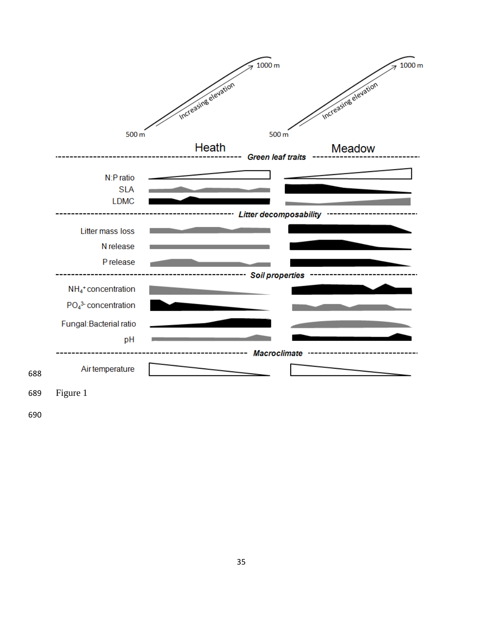

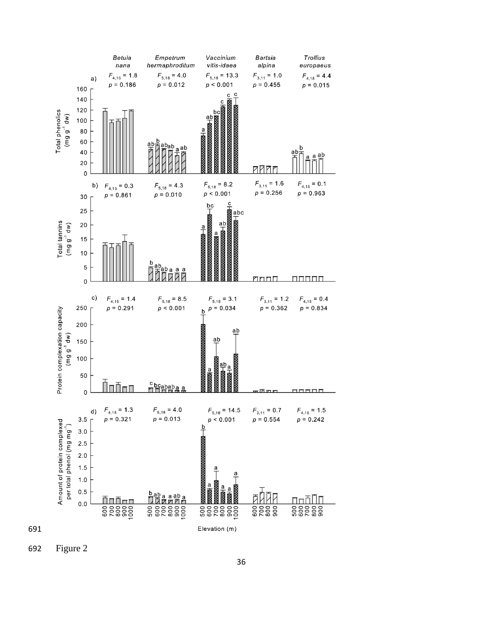

Figure 2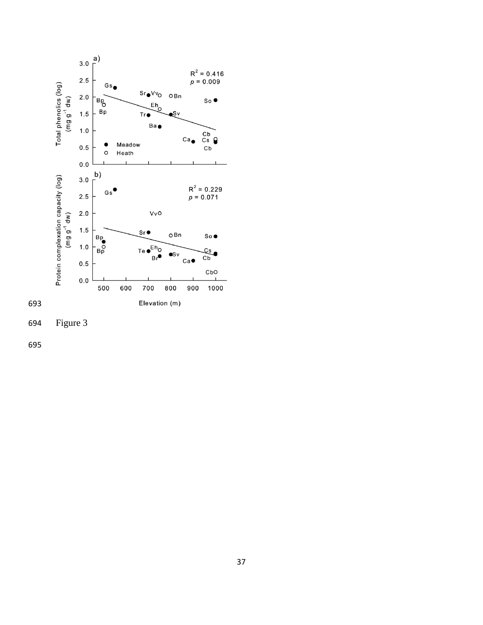